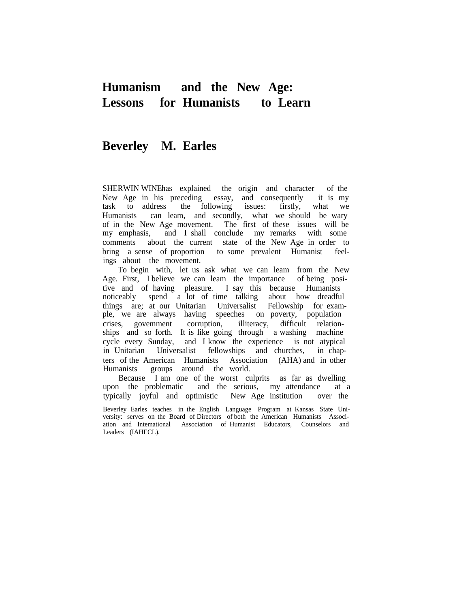# **Humanism and the New Age: Lessons for Humanists to Learn**

## **Beverley M. Earles**

SHERWIN WINEhas explained the origin and character of the New Age in his preceding essay, and consequently it is my task to address the following issues: firstly, what we Humanists can leam, and secondly, what we should be wary of in the New Age movement. The first of these issues will be my emphasis, and I shall conclude my remarks with some comments about the current state of the New Age in order to bring a sense of proportion to some prevalent Humanist feelings about the movement.

To begin with, let us ask what we can leam from the New Age. First, I believe we can leam the importance of being positive and of having pleasure. I say this because Humanists noticeably spend a lot of time talking about how dreadfu spend a lot of time talking about how dreadful things are; at our Unitarian Universalist Fellowship for example, we are always having speeches on poverty, population crises, govemment corruption, illiteracy, difficult relationships and so forth. It is like going through a washing machine cycle every Sunday, and I know the experience is not atypical in Unitarian Universalist fellowships and churches, in chapters of the American Humanists Association (AHA) and in other Humanists groups around the world.

Because I am one of the worst culprits as far as dwelling upon the problematic and the serious, my attendance at a typically joyful and optimistic New Age institution over the

Beverley Earles teaches in the English Language Program at Kansas State University: serves on the Board of Directors of both the American Humanists Association and Intemational Association of Humanist Educators, Counselors and Leaders (IAHECL).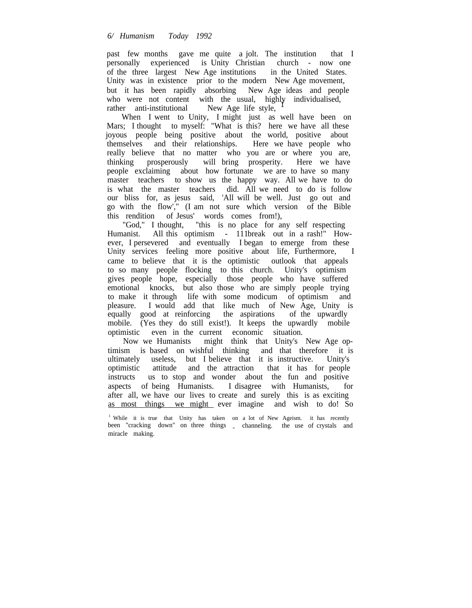past few months gave me quite a jolt. The institution that I personally experienced is Unity Christian church - now one of the three largest New Age institutions in the United States. Unity was in existence prior to the modern New Age movement, but it has been rapidly absorbing New Age ideas and people who were not content with the usual, highly individualised, rather anti-institutional New Age life style,  $\frac{1}{1}$ 

When I went to Unity, I might just as well have been on Mars; I thought to myself: "What is this? here we have all these joyous people being positive about the world, positive about themselves and their relationships. Here we have people who really believe that no matter who you are or where you are, thinking prosperously will bring prosperity. Here we have people exclaiming about how fortunate we are to have so many master teachers to show us the happy way. All we have to do is what the master teachers did. All we need to do is follow our bliss for, as jesus said, 'All will be well. Just go out and go with the flow'," (I am not sure which version of the Bible this rendition of Jesus' words comes from!),

"God," I thought, "this is no place for any self respecting Humanist. All this optimism - 111break out in a rash!" However, I persevered and eventually I began to emerge from these Unity services feeling more positive about life, Furthermore, I came to believe that it is the optimistic outlook that appeals to so many people flocking to this church. Unity's optimism gives people hope, especially those people who have suffered emotional knocks, but also those who are simply people trying to make it through life with some modicum of optimism and pleasure. I would add that like much of New Age, Unity is equally good at reinforcing the aspirations of the upwardly mobile. (Yes they do still exist!). It keeps the upwardly mobile optimistic even in the current economic situation.

Now we Humanists might think that Unity's New Age optimism is based on wishful thinking and that therefore it is ultimately useless, but I believe that it is instructive. Unity's optimistic attitude and the attraction that it has for people instructs us to stop and wonder about the fun and positive aspects of being Humanists. I disagree with Humanists, for after all, we have our lives to create and surely this is as exciting as most things we might ever imagine and wish to do! So

<sup>&</sup>lt;sup>1</sup> While it is true that Unity has taken on a lot of New Ageism. it has recently been "cracking down" on three things \_ channeling. the use of crystals and miracle making.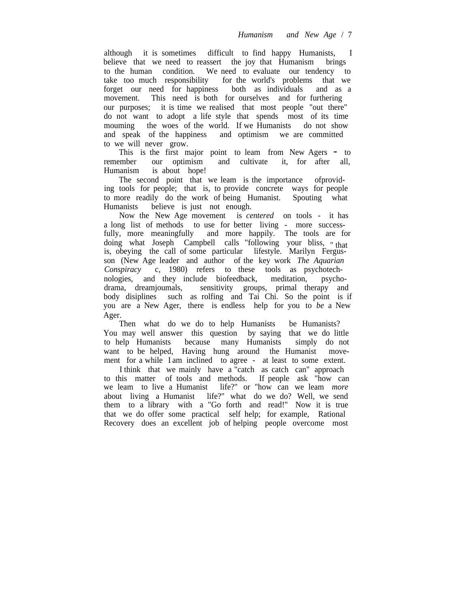although it is sometimes difficult to find happy Humanists, I believe that we need to reassert the joy that Humanism brings to the human condition. We need to evaluate our tendency to take too much responsibility for the world's problems that we forget our need for happiness both as individuals and as a movement. This need is both for ourselves and for furthering our purposes; it is time we realised that most people "out there" do not want to adopt a life style that spends most of its time mouming the woes of the world. If we Humanists do not show and speak of the happiness and optimism we are committed to we will never grow.

This is the first major point to leam from New Agers - to remember our optimism and cultivate it, for after all, it, for after all, Humanism is about hope!

The second point that we leam is the importance ofproviding tools for people; that is, to provide concrete ways for people to more readily do the work of being Humanist. Spouting what Humanists believe is just not enough.

Now the New Age movement is *centered* on tools - it has a long list of methods to use for better living - more successfully, more meaningfully and more happily. The tools are for doing what Joseph Campbell calls "following your bliss, " that is, obeying the call of some particular lifestyle. Marilyn Fergusson (New Age leader and author of the key work *The Aquarian Conspiracy* c, 1980) refers to these tools as psychotechnologies, and they include biofeedback, meditation, psycho-<br>drama, dreamjoumals, sensitivity groups, primal therapy and sensitivity groups, primal therapy and body disiplines such as rolfing and Tai Chi. So the point is if you are a New Ager, there is endless help for you to *be* a New Ager.

Then what do we do to help Humanists be Humanists? You may well answer this question by saying that we do little to help Humanists because many Humanists simply do not want to be helped, Having hung around the Humanist movement for a while I am inclined to agree - at least to some extent.

I think that we mainly have a "catch as catch can" approach to this matter of tools and methods. If people ask "how can we leam to live a Humanist life?" or "how can we leam *more* about living a Humanist life?" what do we do? Well, we send them to a library with a "Go forth and read!" Now it is true that we do offer some practical self help; for example, Rational Recovery does an excellent job of helping people overcome most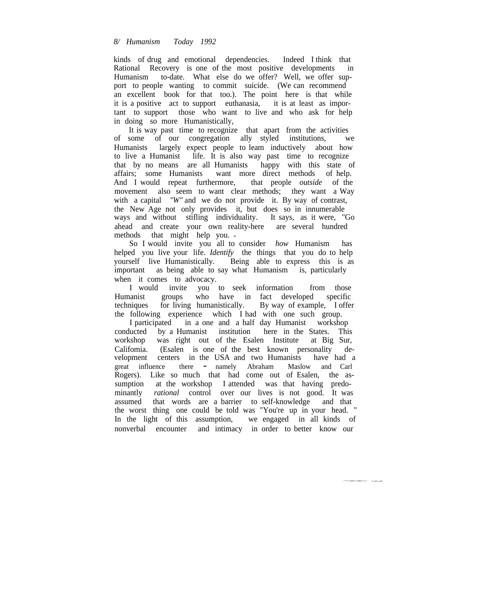#### *8/ Humanism Today 1992*

kinds of drug and emotional dependencies. Indeed I think that Rational Recovery is one of the most positive developments in Humanism to-date. What else do we offer? Well, we offer support to people wanting to commit suicide. (We can recommend an excellent book for that too.). The point here is that while it is a positive act to support euthanasia, it is at least as important to support those who want to live and who ask for help in doing so more Humanistically,

It is way past time to recognize that apart from the activities of some of our congregation ally styled institutions, we Humanists largely expect people to leam inductively about how to live a Humanist life. It is also way past time to recognize that by no means are all Humanists happy with this state of affairs; some Humanists want more direct methods of help. And I would repeat furthermore, that people *outside* of the movement also seem to want clear methods; they want a Way with a capital *"W"* and we do not provide it. By way of contrast, the New Age not only provides it, but does so in innumerable ways and without stifling individuality. It says, as it were, "Go ahead and create your own reality-here are several hundred methods that might help you. "

So I would invite you all to consider *how* Humanism has helped you live your life. *Identify* the things that you do to help yourself live Humanistically. Being able to express this is as important as being able to say what Humanism is, particularly when it comes to advocacy.

I would invite you to seek information from those<br>Humanist groups who have in fact developed specific groups who have in fact developed specific techniques for living humanistically. By way of example, I offer the following experience which I had with one such group.

I participated in a one and a half day Humanist workshop conducted by a Humanist institution here in the States. This workshop was right out of the Esalen Institute at Big Sur, Califomia. (Esalen is one of the best known personality development centers in the USA and two Humanists have had a great influence there - namely Abraham Maslow and Carl Rogers). Like so much that had come out of Esalen, the assumption at the workshop I attended was that having predominantly *rational* control over our lives is not good. It was assumed that words are a barrier to self-knowledge and that the worst thing one could be told was "You're up in your head. " In the light of this assumption, we engaged in all kinds of nonverbal encounter and intimacy in order to better know our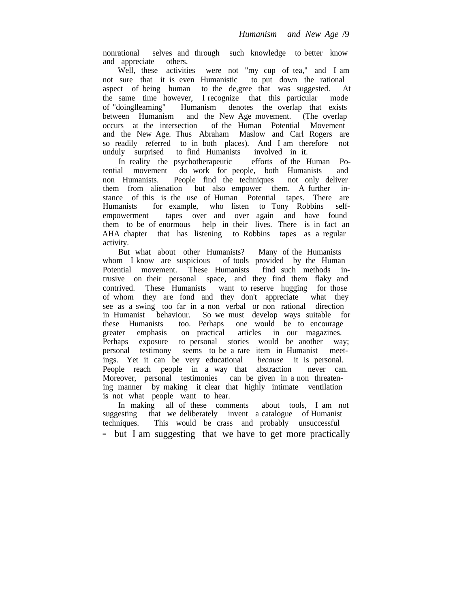nonrational selves and through such knowledge to better know and appreciate others.

Well, these activities were not "my cup of tea," and I am not sure that it is even Humanistic to put down the rational aspect of being human to the de,gree that was suggested. At the same time however, I recognize that this particular mode of "doinglleaming" Humanism denotes the overlap that exists between Humanism and the New Age movement. (The overlap occurs at the intersection of the Human Potential Movement and the New Age. Thus Abraham Maslow and Carl Rogers are so readily referred to in both places). And I am therefore not unduly surprised to find Humanists involved in it.

In reality the psychotherapeutic efforts of the Human Potential movement do work for people, both Humanists and non Humanists. People find the techniques not only deliver them from alienation but also empower them. A further instance of this is the use of Human Potential tapes. There are Humanists for example, who listen to Tony Robbins selfempowerment tapes over and over again and have found them to be of enormous help in their lives. There is in fact an AHA chapter that has listening to Robbins tapes as a regular activity.

But what about other Humanists? Many of the Humanists whom I know are suspicious of tools provided by the Human Potential movement. These Humanists find such methods intrusive on their personal space, and they find them flaky and contrived. These Humanists want to reserve hugging for those of whom they are fond and they don't appreciate what they see as a swing too far in a non verbal or non rational direction in Humanist behaviour. So we must develop ways suitable for these Humanists too. Perhaps one would be to encourage greater emphasis on practical articles in our magazines. greater emphasis on practical articles in our magazines. Perhaps exposure to personal stories would be another way; personal testimony seems to be a rare item in Humanist meetings. Yet it can be very educational *because* it is personal. People reach people in a way that abstraction never can. Moreover, personal testimonies can be given in a non threatening manner by making it clear that highly intimate ventilation is not what people want to hear.

In making all of these comments about tools, I am not suggesting that we deliberately invent a catalogue of Humanist techniques. This would be crass and probably unsuccessful - but I am suggesting that we have to get more practically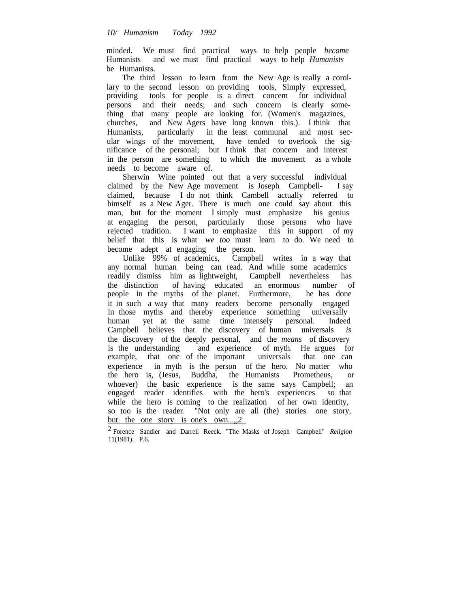minded. We must find practical ways to help people *become* Humanists and we must find practical ways to help *Humanists* be Humanists.

The third lesson to learn from the New Age is really a corollary to the second lesson on providing tools, Simply expressed, providing tools for people is a direct concem for individual persons and their needs; and such concern is clearly something that many people are looking for. (Women's magazines, churches, and New Agers have long known this.). I think that Humanists, particularly in the least communal and most secular wings of the movement, have tended to overlook the significance of the personal; but I think that concem and interest in the person are something to which the movement as a whole needs to become aware of.

Sherwin Wine pointed out that a very successful individual claimed by the New Age movement is Joseph Campbell- I say claimed, because I do not think Cambell actually referred to himself as a New Ager. There is much one could say about this man, but for the moment I simply must emphasize his genius at engaging the person, particularly those persons who have rejected tradition. I want to emphasize this in support of my belief that this is what *we too* must learn to do. We need to become adept at engaging the person.

Unlike 99% of academics, Campbell writes in a way that any normal human being can read. And while some academics readily dismiss him as lightweight, Campbell nevertheless has the distinction of having educated an enormous number of people in the myths of the planet. Furthermore, he has done it in such a way that many readers become personally engaged in those myths and thereby experience something universally human yet at the same time intensely personal. Indeed Campbell believes that the discovery of human universals *is* the discovery of the deeply personal, and the *means* of discovery is the understanding and experience of myth. He argues for example, that one of the important universals that one can experience in myth is the person of the hero. No matter who the hero is, (Jesus, Buddha, the Humanists Prometheus, or whoever) the basic experience is the same says Campbell; an engaged reader identifies with the hero's experiences so that while the hero is coming to the realization of her own identity, so too is the reader. "Not only are all (the) stories one story, but the one story is one's own.....2

<sup>2</sup> Forence Sandler and Darrell Reeck. "The Masks of Joseph Campbell" *Religion* 11(1981). P.6.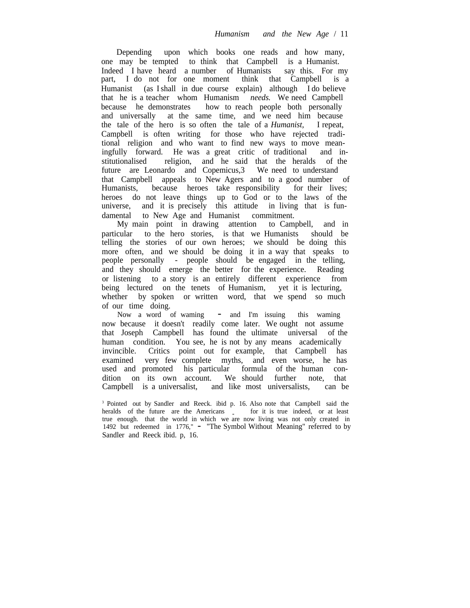Depending upon which books one reads and how many, one may be tempted to think that Campbell is a Humanist. Indeed I have heard a number of Humanists say this. For my part, I do not for one moment think that Campbell is a Humanist (as Ishall in due course explain) although I do believe that he is a teacher whom Humanism *needs.* We need Campbell because he demonstrates how to reach people both personally and universally at the same time, and we need him because the tale of the hero is so often the tale of a *Humanist,* I repeat, Campbell is often writing for those who have rejected traditional religion and who want to find new ways to move meaningfully forward. He was a great critic of traditional and institutionalised religion, and he said that the heralds of the future are Leonardo and Copemicus, 3 We need to understand that Campbell appeals to New Agers and to a good number of Humanists, because heroes take responsibility for their lives; heroes do not leave things up to God or to the laws of the universe, and it is precisely this attitude in living that is fundamental to New Age and Humanist commitment.

My main point in drawing attention to Campbell, and in particular to the hero stories, is that we Humanists should be telling the stories of our own heroes; we should be doing this more often, and we should be doing it in a way that speaks to people personally - people should be engaged in the telling, and they should emerge the better for the experience. Reading or listening to a story is an entirely different experience from being lectured on the tenets of Humanism, yet it is lecturing, whether by spoken or written word, that we spend so much of our time doing.

Now <sup>a</sup> word of waming - and I'm issuing this waming now because it doesn't readily come later. We ought not assume that Joseph Campbell has found the ultimate universal of the human condition. You see, he is not by any means academically invincible. Critics point out for example, that Campbell has examined very few complete myths, and even worse, he has used and promoted his particular formula of the human condition on its own account. We should further note, that Campbell is a universalist, and like most universalists, can be

<sup>&</sup>lt;sup>3</sup> Pointed out by Sandler and Reeck. ibid p. 16. Also note that Campbell said the heralds of the future are the Americans for it is true indeed, or at least true enough. that the world in which we are now living was not only created in <sup>1492</sup> but redeemed in 1776," - "The Symbol Without Meaning" referred to by Sandler and Reeck ibid. p, 16.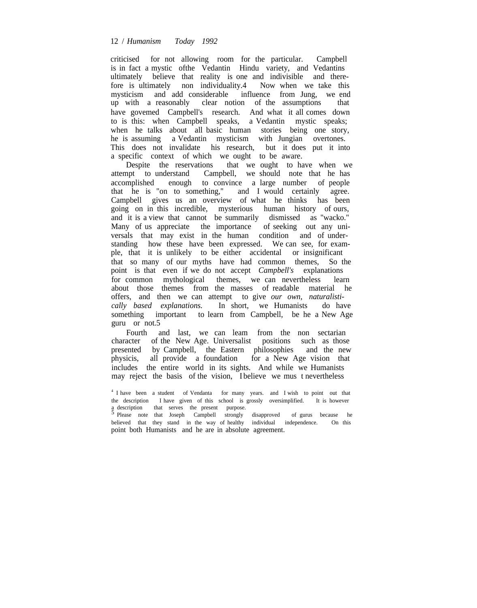#### 12 / *Humanism Today 1992*

criticised for not allowing room for the particular. Campbell is in fact a mystic ofthe Vedantin Hindu variety, and Vedantins ultimately believe that reality is one and indivisible and therefore is ultimately non individuality.4 Now when we take this mysticism and add considerable influence from Jung, we end<br>up with a reasonably clear notion of the assumptions that up with a reasonably clear notion of the assumptions have govemed Campbell's research. And what it all comes down to is this: when Campbell speaks, a Vedantin mystic speaks; when he talks about all basic human stories being one story, he is assuming a Vedantin mysticism with Jungian overtones. This does not invalidate his research, but it does put it into a specific context of which we ought to be aware.

Despite the reservations that we ought to have when we attempt to understand Campbell, we should note that he has accomplished enough to convince a large number of people that he is "on to something," and I would certainly agree. Campbell gives us an overview of what he thinks has been going on in this incredible, mysterious human history of ours, and it is a view that cannot be summarily dismissed as "wacko." Many of us appreciate the importance of seeking out any universals that may exist in the human condition and of understanding how these have been expressed. We can see, for example, that it is unlikely to be either accidental or insignificant that so many of our myths have had common themes, So the point is that even if we do not accept *Campbell's* explanations for common mythological themes, we can nevertheless learn about those themes from the masses of readable material he offers, and then we can attempt to give *our own, naturalistically based explanations.* In short, we Humanists do have something important to learn from Campbell, be he a New Age guru or not.5

Fourth and last, we can leam from the non sectarian character of the New Age. Universalist positions such as those presented by Campbell, the Eastern philosophies and the new physicis, all provide a foundation for a New Age vision that includes the entire world in its sights. And while we Humanists may reject the basis of the vision, I believe we mus t nevertheless

<sup>&</sup>lt;sup>4</sup> I have been a student of Vendanta for many years. and I wish to point out that the description I have given of this school is grossly oversimplified. It is however a description that serves the present purpose.

Please note that Joseph Campbell strongly disapproved of gurus because he believed that they stand in the way of healthy individual independence. On this point both Humanists and he are in absolute agreement.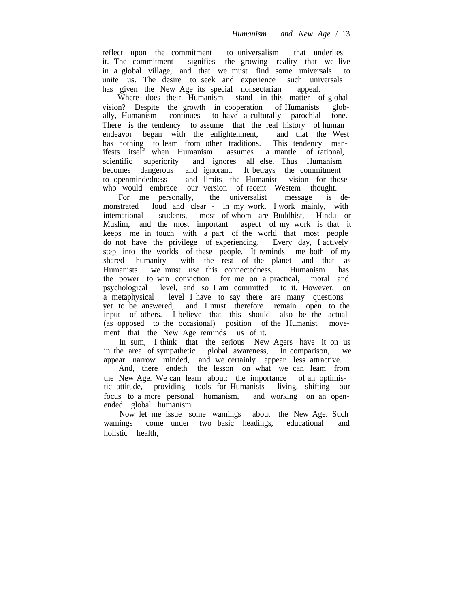reflect upon the commitment to universalism that underlies it. The commitment signifies the growing reality that we live in a global village, and that we must find some universals to unite us. The desire to seek and experience such universals has given the New Age its special nonsectarian appeal.

Where does their Humanism stand in this matter of global vision? Despite the growth in cooperation of Humanists globally, Humanism continues to have a culturally parochial tone. There is the tendency to assume that the real history of human endeavor began with the enlightenment, and that the West has nothing to leam from other traditions. This tendency manifests itself when Humanism assumes a mantle of rational, scientific superiority and ignores all else. Thus Humanism becomes dangerous and ignorant. It betrays the commitment to openmindedness and limits the Humanist vision for those who would embrace our version of recent Westem thought.

For me personally, the universalist message is demonstrated loud and clear - in my work. I work mainly, with intemational students, most of whom are Buddhist, Hindu or Muslim, and the most important aspect of my work is that it keeps me in touch with a part of the world that most people do not have the privilege of experiencing. Every day, I actively step into the worlds of these people. It reminds me both of my shared humanity with the rest of the planet and that as shared humanity with the rest of the planet and that as Humanists we must use this connectedness. Humanism has the power to win conviction for me on a practical, moral and psychological level, and so I am committed to it. However, on a metaphysical level I have to say there are many questions yet to be answered, and I must therefore remain open to the input of others. I believe that this should also be the actual (as opposed to the occasional) position of the Humanist movement that the New Age reminds us of it.

In sum, I think that the serious New Agers have it on us in the area of sympathetic global awareness, In comparison, we appear narrow minded, and we certainly appear less attractive.

And, there endeth the lesson on what we can learn from the New Age. We can leam about: the importance of an optimistic attitude, providing tools for Humanists living, shifting our focus to a more personal humanism, and working on an openended global humanism.

Now let me issue some wamings about the New Age. Such wamings come under two basic headings, educational and holistic health,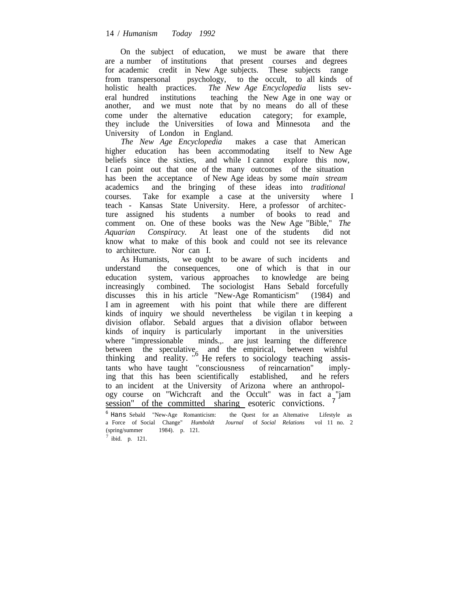On the subject of education, we must be aware that there are a number of institutions that present courses and degrees for academic credit in New Age subjects. These subjects range from transpersonal psychology, to the occult, to all kinds of holistic health practices. *The New Age Encyclopedia* lists several hundred institutions teaching the New Age in one way or another, and we must note that by no means do all of these come under the alternative education category; for example, they include the Universities of Iowa and Minnesota and the University of London in England.

*The New Age Encyclopedia* makes a case that American higher education has been accommodating itself to New Age beliefs since the sixties, and while I cannot explore this now, I can point out that one of the many outcomes of the situation has been the acceptance of New Age ideas by some *main stream* academics and the bringing of these ideas into *traditional* courses. Take for example a case at the university where I teach - Kansas State University. Here, a professor of architecture assigned his students a number of books to read and comment on. One of these books was the New Age "Bible," *The Aquarian Conspiracy.* At least one of the students did not know what to make of this book and could not see its relevance to architecture. Nor can I.

As Humanists, we ought to be aware of such incidents and understand the consequences, one of which is that in our education system, various approaches to knowledge are being increasingly combined. The sociologist Hans Sebald forcefully discusses this in his article "New-Age Romanticism" (1984) and I am in agreement with his point that while there are different kinds of inquiry we should nevertheless be vigilan t in keeping a division oflabor. Sebald argues that a division oflabor between kinds of inquiry is particularly important in the universities where "impressionable minds.,. are just learning the difference between the speculative and the empirical, between wishful thinking and reality. <sup>%</sup> He refers to sociology teaching assistants who have taught "consciousness of reincarnation" implying that this has been scientifically established, and he refers to an incident at the University of Arizona where an anthropology course on "Wichcraft and the Occult" was in fact a "jam session" of the committed sharing esoteric convictions. <sup>7</sup>

<sup>6</sup> Hans Sebald "New-Age Romanticism: the Quest for an Altemative Lifestyle as a Force of Social Change" *Humboldt Journal* of *Social Relations* vol 11 no. 2 (spring/summer 1984). p. 121.

 $^7$  ibid. p. 121.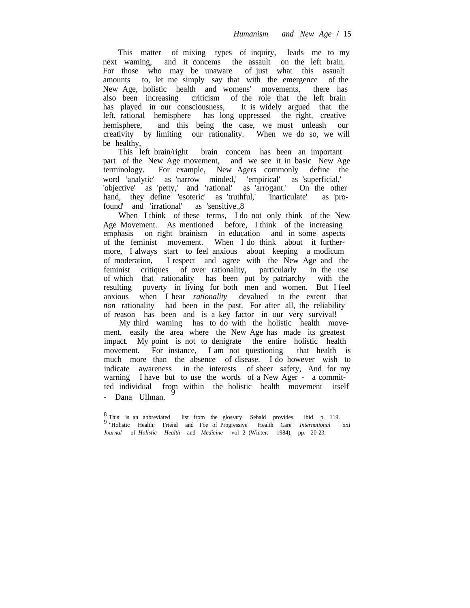This matter of mixing types of inquiry, leads me to my next waming, and it concems the assault on the left brain. For those who may be unaware of just what this assualt amounts to, let me simply say that with the emergence of the New Age, holistic health and womens' movements, there has also been increasing criticism of the role that the left brain has played in our consciousness, It is widely argued that the left, rational hemisphere has long oppressed the right, creative hemisphere, and this being the case, we must unleash our creativity by limiting our rationality. When we do so, we will be healthy,

This left brain/right brain concem has been an important part of the New Age movement, and we see it in basic New Age terminology. For example, New Agers commonly define the word 'analytic' as 'narrow minded,' 'empirical' as 'superficial,' 'objective' as 'petty,' and 'rational' as 'arrogant.' On the other hand, they define 'esoteric' as 'truthful,' 'inarticulate' as 'profound' and 'irrational' as 'sensitive.,8

When I think of these terms, I do not only think of the New Age Movement. As mentioned before, I think of the increasing emphasis on right brainism in education and in some aspects of the feminist movement. When I do think about it furthermore, I always start to feel anxious about keeping a modicum of moderation, I respect and agree with the New Age and the feminist critiques of over rationality, particularly in the use of which that rationality has been put by patriarchy with the resulting poverty in living for both men and women. But I feel anxious when I hear *rationality* devalued to the extent that *non* rationality had been in the past. For after all, the reliability of reason has been and is a key factor in our very survival!

My third waming has to do with the holistic health movement, easily the area where the New Age has made its greatest impact. My point is not to denigrate the entire holistic health movement. For instance, I am not questioning that health is much more than the absence of disease. I do however wish to indicate awareness in the interests of sheer safety, And for my warning I have but to use the words of a New Ager - a committed individual from within the holistic health movement itself - Dana Ullman.

<sup>8</sup> This is an abbreviated list from the glossary Sebald provides. ibid. p. 119. 9 "Holistic Health: Friend and Foe of Progressive Health Care" *International* xxi *Journal* of *Holistic Health* and *Medicine* vol 2 (Winter. 1984), pp. 20-23.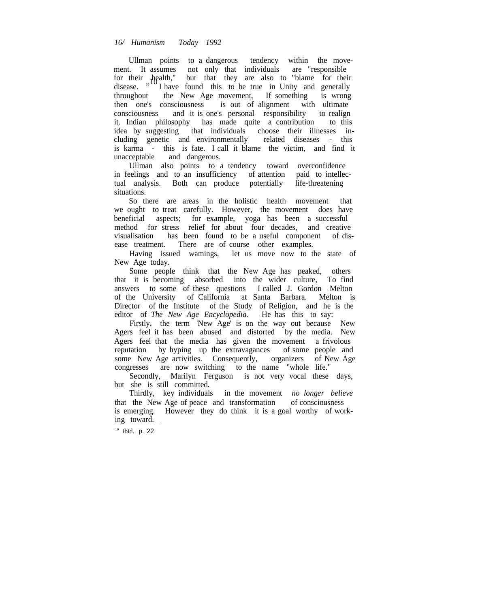Ullman points to a dangerous tendency within the movement. It assumes not only that individuals are "responsible for their health," but that they are also to "blame for their disease.  $"''$  I have found this to be true in Unity and generally throughout the New Age movement, If something is wrong then one's consciousness is out of alignment with ultimate consciousness and it is one's personal responsibility to realign it. Indian philosophy has made quite a contribution to this idea by suggesting that individuals choose their illnesses including genetic and environmentally related diseases - this is karma - this is fate. I call it blame the victim, and find it unacceptable and dangerous.

Ullman also points to a tendency toward overconfidence in feelings and to an insufficiency of attention paid to intellectual analysis. Both can produce potentially life-threatening situations.

So there are areas in the holistic health movement that we ought to treat carefully. However, the movement does have beneficial aspects; for example, yoga has been a successful method for stress relief for about four decades, and creative visualisation has been found to be a useful component of dishas been found to be a useful component of disease treatment. There are of course other examples.

Having issued wamings, let us move now to the state of New Age today.

Some people think that the New Age has peaked, others that it is becoming absorbed into the wider culture, To find answers to some of these questions I called J. Gordon Melton of the University of California at Santa Barbara. Melton is Director of the Institute of the Study of Religion, and he is the editor of *The New Age Encyclopedia.* He has this to say:

Firstly, the term 'New Age' is on the way out because New Agers feel it has been abused and distorted by the media. New Agers feel that the media has given the movement a frivolous reputation by hyping up the extravagances of some people and some New Age activities. Consequently, organizers of New Age congresses are now switching to the name "whole life."

Secondly, Marilyn Ferguson is not very vocal these days, but she is still committed.

Thirdly, key individuals in the movement *no longer believe* that the New Age of peace and transformation of consciousness is emerging. However they do think it is a goal worthy of working toward.

<sup>10</sup> ibid. p. 22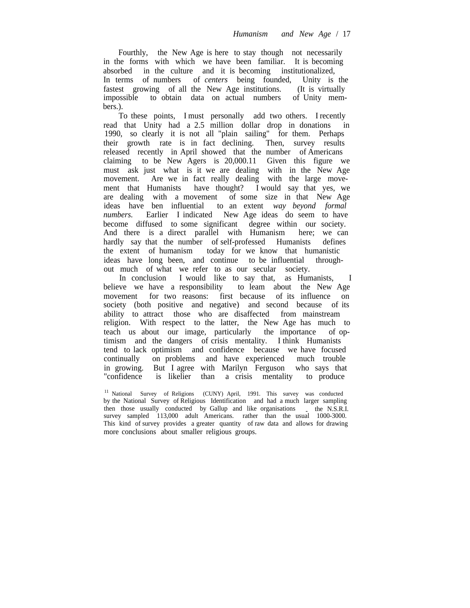Fourthly, the New Age is here to stay though not necessarily in the forms with which we have been familiar. It is becoming absorbed in the culture and it is becoming institutionalized, In terms of numbers of *centers* being founded, Unity is the fastest growing of all the New Age institutions. (It is virtually impossible to obtain data on actual numbers of Unity members.).

To these points, I must personally add two others. I recently read that Unity had a 2.5 million dollar drop in donations in 1990, so clearly it is not all "plain sailing" for them. Perhaps their growth rate is in fact declining. Then, survey results released recently in April showed that the number of Americans claiming to be New Agers is 20,000.11 Given this figure we must ask just what is it we are dealing with in the New Age movement. Are we in fact really dealing with the large movement that Humanists have thought? I would say that yes, we are dealing with a movement of some size in that New Age ideas have ben influential to an extent *way beyond formal numbers.* Earlier I indicated New Age ideas do seem to have become diffused to some significant degree within our society. And there is a direct parallel with Humanism here; we can hardly say that the number of self-professed Humanists defines the extent of humanism today for we know that humanistic ideas have long been, and continue to be influential throughout much of what we refer to as our secular society.

In conclusion I would like to say that, as Humanists, I believe we have a responsibility to leam about the New Age movement for two reasons: first because of its influence on society (both positive and negative) and second because of its ability to attract those who are disaffected from mainstream religion. With respect to the latter, the New Age has much to teach us about our image, particularly the importance of optimism and the dangers of crisis mentality. I think Humanists tend to lack optimism and confidence because we have focused continually on problems and have experienced much trouble in growing. But I agree with Marilyn Ferguson who says that "confidence is likelier than a crisis mentality to produce

<sup>11</sup> National Survey of Religions (CUNY) April, 1991. This survey was conducted by the National Survey of Religious Identification and had a much larger sampling then those usually conducted by Gallup and like organisations the N.S.R.I. survey sampled 113,000 adult Americans. rather than the usual 1000-3000. This kind of survey provides a greater quantity of raw data and allows for drawing more conclusions about smaller religious groups.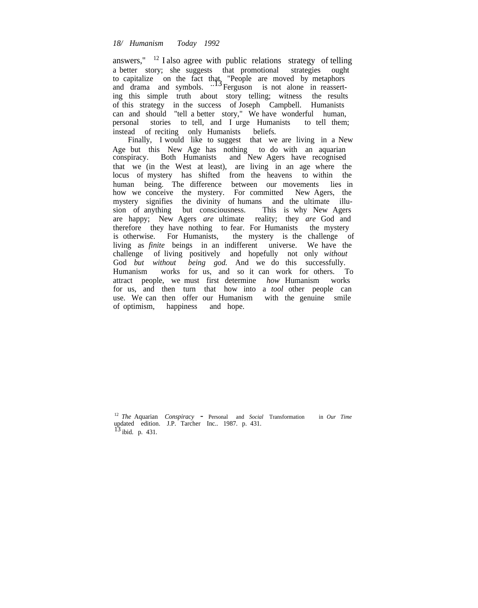### *18/ Humanism Today 1992*

answers," <sup>12</sup> I also agree with public relations strategy of telling a better story; she suggests that promotional strategies ought to capitalize on the fact that "People are moved by metaphors and drama and symbols.  $^{13}$  Ferguson is not alone in reasserting this simple truth about story telling; witness the results of this strategy in the success of Joseph Campbell. Humanists can and should "tell a better story," We have wonderful human, personal stories to tell, and I urge Humanists to tell them; instead of reciting only Humanists beliefs.

Finally, I would like to suggest that we are living in a New Age but this New Age has nothing to do with an aquarian conspiracy. Both Humanists and New Agers have recognised that we (in the West at least), are living in an age where the locus of mystery has shifted from the heavens to within the human being. The difference between our movements lies in how we conceive the mystery. For committed New Agers, the mystery signifies the divinity of humans and the ultimate illusion of anything but consciousness. This is why New Agers are happy; New Agers *are* ultimate reality; they *are* God and therefore they have nothing to fear. For Humanists the mystery is otherwise. For Humanists, the mystery is the challenge of living as *finite* beings in an indifferent universe. We have the challenge of living positively and hopefully not only *without* God *but without being god.* And we do this successfully. Humanism works for us, and so it can work for others. To attract people, we must first determine *how* Humanism works for us, and then turn that how into a *tool* other people can use. We can then offer our Humanism with the genuine smile of optimism, happiness and hope.

<sup>12</sup> *The* Aquarian *Conspiracy* - Personal and *Social* Transformation in *Our Time* updated edition. J.P. Tarcher Inc.. 1987. p. 431. <sup>13</sup> ibid. p. 431.